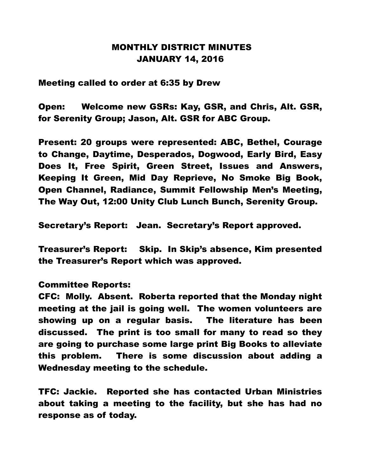## MONTHLY DISTRICT MINUTES JANUARY 14, 2016

Meeting called to order at 6:35 by Drew

Open: Welcome new GSRs: Kay, GSR, and Chris, Alt. GSR, for Serenity Group; Jason, Alt. GSR for ABC Group.

Present: 20 groups were represented: ABC, Bethel, Courage to Change, Daytime, Desperados, Dogwood, Early Bird, Easy Does It, Free Spirit, Green Street, Issues and Answers, Keeping It Green, Mid Day Reprieve, No Smoke Big Book, Open Channel, Radiance, Summit Fellowship Men's Meeting, The Way Out, 12:00 Unity Club Lunch Bunch, Serenity Group.

Secretary's Report: Jean. Secretary's Report approved.

Treasurer's Report: Skip. In Skip's absence, Kim presented the Treasurer's Report which was approved.

## Committee Reports:

CFC: Molly. Absent. Roberta reported that the Monday night meeting at the jail is going well. The women volunteers are showing up on a regular basis. The literature has been discussed. The print is too small for many to read so they are going to purchase some large print Big Books to alleviate this problem. There is some discussion about adding a Wednesday meeting to the schedule.

TFC: Jackie. Reported she has contacted Urban Ministries about taking a meeting to the facility, but she has had no response as of today.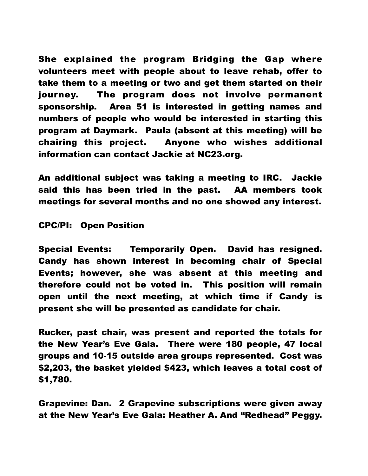She explained the program Bridging the Gap where volunteers meet with people about to leave rehab, offer to take them to a meeting or two and get them started on their journey. The program does not involve permanent sponsorship. Area 51 is interested in getting names and numbers of people who would be interested in starting this program at Daymark. Paula (absent at this meeting) will be chairing this project. Anyone who wishes additional information can contact Jackie at NC23.org.

An additional subject was taking a meeting to IRC. Jackie said this has been tried in the past. AA members took meetings for several months and no one showed any interest.

## CPC/PI: Open Position

Special Events: Temporarily Open. David has resigned. Candy has shown interest in becoming chair of Special Events; however, she was absent at this meeting and therefore could not be voted in. This position will remain open until the next meeting, at which time if Candy is present she will be presented as candidate for chair.

Rucker, past chair, was present and reported the totals for the New Year's Eve Gala. There were 180 people, 47 local groups and 10-15 outside area groups represented. Cost was \$2,203, the basket yielded \$423, which leaves a total cost of \$1,780.

Grapevine: Dan. 2 Grapevine subscriptions were given away at the New Year's Eve Gala: Heather A. And "Redhead" Peggy.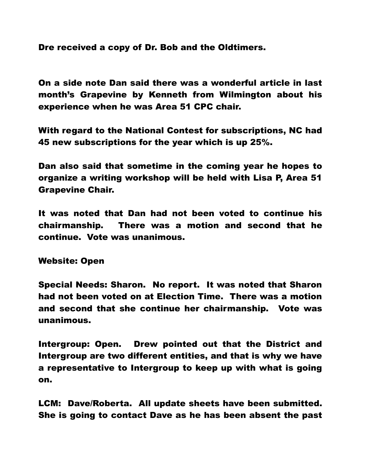Dre received a copy of Dr. Bob and the Oldtimers.

On a side note Dan said there was a wonderful article in last month's Grapevine by Kenneth from Wilmington about his experience when he was Area 51 CPC chair.

With regard to the National Contest for subscriptions, NC had 45 new subscriptions for the year which is up 25%.

Dan also said that sometime in the coming year he hopes to organize a writing workshop will be held with Lisa P, Area 51 Grapevine Chair.

It was noted that Dan had not been voted to continue his chairmanship. There was a motion and second that he continue. Vote was unanimous.

Website: Open

Special Needs: Sharon. No report. It was noted that Sharon had not been voted on at Election Time. There was a motion and second that she continue her chairmanship. Vote was unanimous.

Intergroup: Open. Drew pointed out that the District and Intergroup are two different entities, and that is why we have a representative to Intergroup to keep up with what is going on.

LCM: Dave/Roberta. All update sheets have been submitted. She is going to contact Dave as he has been absent the past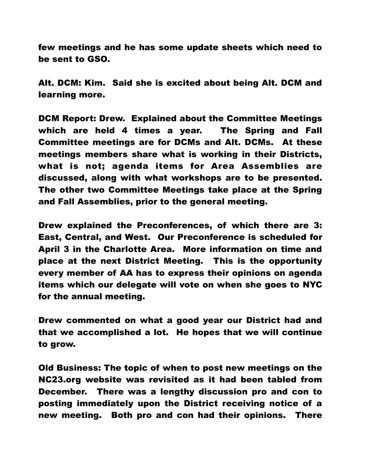few meetings and he has some update sheets which need to be sent to GSO.

Alt. DCM: Kim. Said she is excited about being Alt. DCM and learning more.

DCM Report: Drew. Explained about the Committee Meetings which are held 4 times a year. The Spring and Fall Committee meetings are for DCMs and Alt. DCMs. At these meetings members share what is working in their Districts, what is not; agenda items for Area Assemblies are discussed, along with what workshops are to be presented. The other two Committee Meetings take place at the Spring and Fall Assemblies, prior to the general meeting.

Drew explained the Preconferences, of which there are 3: East, Central, and West. Our Preconference is scheduled for April 3 in the Charlotte Area. More information on time and place at the next District Meeting. This is the opportunity every member of AA has to express their opinions on agenda items which our delegate will vote on when she goes to NYC for the annual meeting.

Drew commented on what a good year our District had and that we accomplished a lot. He hopes that we will continue to grow.

Old Business: The topic of when to post new meetings on the NC23.org website was revisited as it had been tabled from December. There was a lengthy discussion pro and con to posting immediately upon the District receiving notice of a new meeting. Both pro and con had their opinions. There